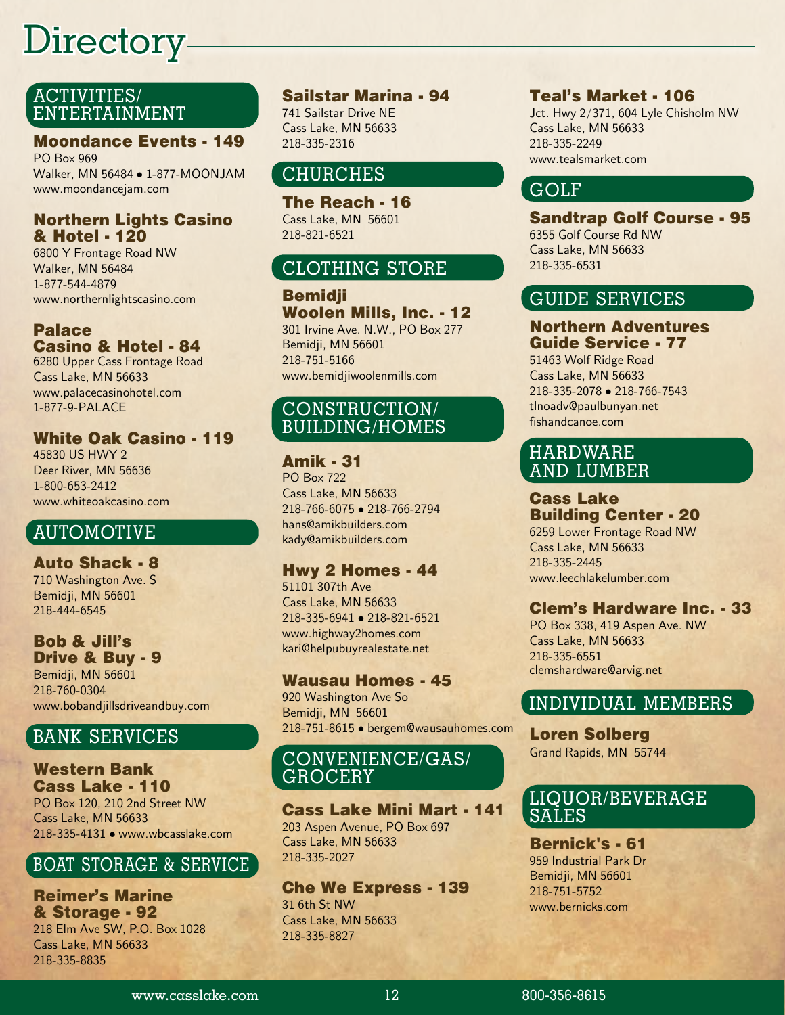## Directory

## ACTIVITIES/ ENTERTAINMENT

#### Moondance Events - 149

PO Box 969 Walker, MN 56484 • 1-877-MOONJAM www.moondancejam.com

#### Northern Lights Casino & Hotel - 120

6800 Y Frontage Road NW Walker, MN 56484 1-877-544-4879 www.northernlightscasino.com

### Palace Casino & Hotel - 84

6280 Upper Cass Frontage Road Cass Lake, MN 56633 www.palacecasinohotel.com 1-877-9-PALACE

#### White Oak Casino - 119

45830 US HWY 2 Deer River, MN 56636 1-800-653-2412 www.whiteoakcasino.com

## AUTOMOTIVE

Auto Shack - 8 710 Washington Ave. S Bemidji, MN 56601 218-444-6545

## Bob & Jill's Drive & Buy - 9 Bemidji, MN 56601

218-760-0304 www.bobandjillsdriveandbuy.com

## BANK SERVICES

#### Western Bank Cass Lake - 110 PO Box 120, 210 2nd Street NW

Cass Lake, MN 56633 218-335-4131 • www.wbcasslake.com

## BOAT STORAGE & SERVICE

Reimer's Marine & Storage - 92 218 Elm Ave SW, P.O. Box 1028 Cass Lake, MN 56633 218-335-8835

## Sailstar Marina - 94

741 Sailstar Drive NE Cass Lake, MN 56633 218-335-2316

## CHURCHES

The Reach - 16 Cass Lake, MN 56601 218-821-6521

## CLOTHING STORE

Bemidji Woolen Mills, Inc. - 12 301 Irvine Ave. N.W., PO Box 277 Bemidji, MN 56601 218-751-5166 www.bemidjiwoolenmills.com

## CONSTRUCTION/ BUILDING/HOMES

#### Amik - 31

PO Box 722 Cass Lake, MN 56633 218-766-6075 • 218-766-2794 hans@amikbuilders.com kady@amikbuilders.com

#### Hwy 2 Homes - 44

51101 307th Ave Cass Lake, MN 56633 218-335-6941 • 218-821-6521 www.highway2homes.com kari@helpubuyrealestate.net

#### Wausau Homes - 45

920 Washington Ave So Bemidji, MN 56601 218-751-8615 • bergem@wausauhomes.com

#### CONVENIENCE/GAS/ GROCERY

#### Cass Lake Mini Mart - 141 203 Aspen Avenue, PO Box 697 Cass Lake, MN 56633

218-335-2027

Che We Express - 139 31 6th St NW Cass Lake, MN 56633 218-335-8827

#### Teal's Market - 106

Jct. Hwy 2/371, 604 Lyle Chisholm NW Cass Lake, MN 56633 218-335-2249 www.tealsmarket.com

## GOLF

Sandtrap Golf Course - 95 6355 Golf Course Rd NW Cass Lake, MN 56633 218-335-6531

## GUIDE SERVICES

#### Northern Adventures Guide Service - 77

51463 Wolf Ridge Road Cass Lake, MN 56633 218-335-2078 • 218-766-7543 tlnoadv@paulbunyan.net fishandcanoe.com

## HARDWARE AND LUMBER

#### Cass Lake Building Center - 20

6259 Lower Frontage Road NW Cass Lake, MN 56633 218-335-2445 www.leechlakelumber.com

## Clem's Hardware Inc. - 33

PO Box 338, 419 Aspen Ave. NW Cass Lake, MN 56633 218-335-6551 clemshardware@arvig.net

## INDIVIDUAL MEMBERS

Loren Solberg Grand Rapids, MN 55744

## LIQUOR/BEVERAGE SALES

Bernick's - 61 959 Industrial Park Dr Bemidji, MN 56601 218-751-5752 www.bernicks.com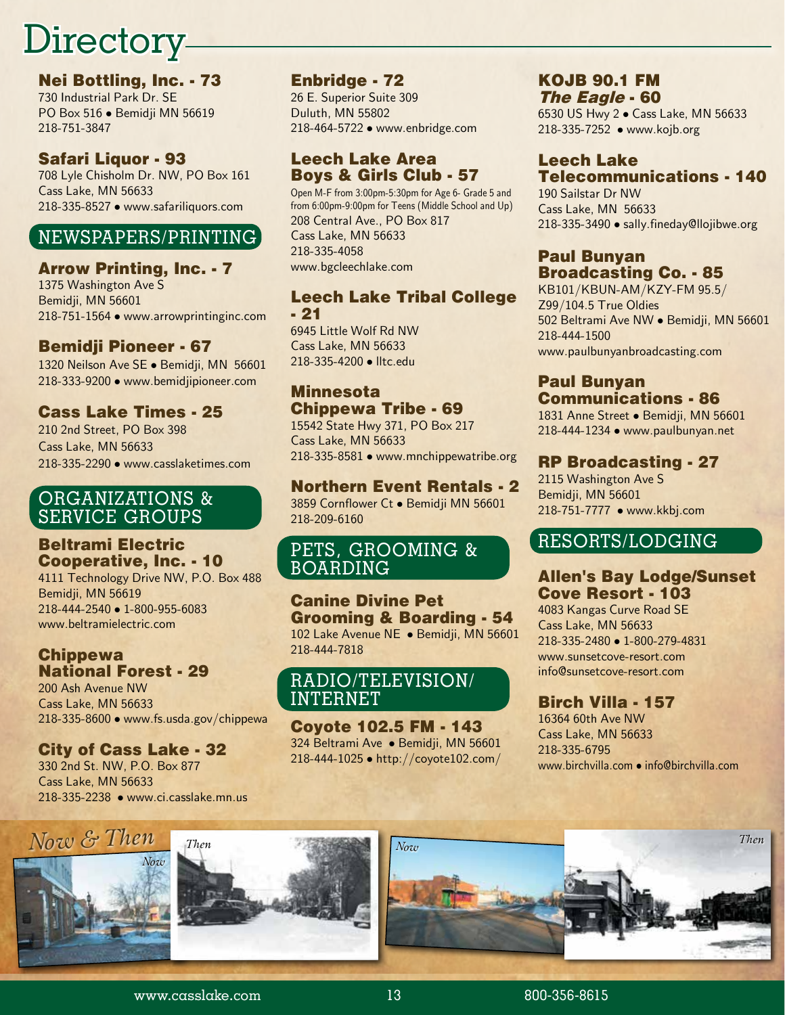# Directory-

Nei Bottling, Inc. - 73 730 Industrial Park Dr. SE PO Box 516 • Bemidji MN 56619 218-751-3847

#### Safari Liquor - 93

708 Lyle Chisholm Dr. NW, PO Box 161 Cass Lake, MN 56633 218-335-8527 • www.safariliquors.com

## NEWSPAPERS/PRINTING

#### Arrow Printing, Inc. - 7

1375 Washington Ave S Bemidji, MN 56601 218-751-1564 • www.arrowprintinginc.com

## Bemidii Pioneer - 67

1320 Neilson Ave SE · Bemidji, MN 56601 218-333-9200 • www.bemidjipioneer.com

## Cass Lake Times - 25

210 2nd Street, PO Box 398 Cass Lake, MN 56633 218-335-2290 • www.casslaketimes.com

#### ORGANIZATIONS & SERVICE GROUPS

#### Beltrami Electric Cooperative, Inc. - 10

4111 Technology Drive NW, P.O. Box 488 Bemidji, MN 56619 218-444-2540 • 1-800-955-6083 www.beltramielectric.com

#### Chippewa National Forest - 29

200 Ash Avenue NW Cass Lake, MN 56633 218-335-8600 • www.fs.usda.gov/chippewa

## City of Cass Lake - 32

330 2nd St. NW, P.O. Box 877 Cass Lake, MN 56633 218-335-2238 • www.ci.casslake.mn.us

#### Enbridge - 72

26 E. Superior Suite 309 Duluth, MN 55802 218-464-5722 • www.enbridge.com

#### Leech Lake Area Boys & Girls Club - 57

Open M-F from 3:00pm-5:30pm for Age 6- Grade 5 and from 6:00pm-9:00pm for Teens (Middle School and Up) 208 Central Ave., PO Box 817 Cass Lake, MN 56633 218-335-4058 www.bgcleechlake.com

#### Leech Lake Tribal College - 21

6945 Little Wolf Rd NW Cass Lake, MN 56633 218-335-4200 • lltc.edu

#### Minnesota Chippewa Tribe - 69

15542 State Hwy 371, PO Box 217 Cass Lake, MN 56633 218-335-8581 • www.mnchippewatribe.org

## Northern Event Rentals - 2

3859 Cornflower Ct • Bemidji MN 56601 218-209-6160

## PETS, GROOMING & BOARDING

#### Canine Divine Pet Grooming & Boarding - 54 102 Lake Avenue NE · Bemidji, MN 56601 218-444-7818

## RADIO/TELEVISION/ INTERNET

#### Coyote 102.5 FM - 143 324 Beltrami Ave • Bemidji, MN 56601 218-444-1025 • http://coyote102.com/

#### KOJB 90.1 FM The Eagle - 60

6530 US Hwy 2 • Cass Lake, MN 56633 218-335-7252 • www.kojb.org

#### Leech Lake Telecommunications - 140

190 Sailstar Dr NW Cass Lake, MN 56633 218-335-3490 • sally.fineday@llojibwe.org

#### Paul Bunyan Broadcasting Co. - 85

KB101/KBUN-AM/KZY-FM 95.5/ Z99/104.5 True Oldies 502 Beltrami Ave NW • Bemidji, MN 56601 218-444-1500 www.paulbunyanbroadcasting.com

#### Paul Bunyan Communications - 86

1831 Anne Street · Bemidji, MN 56601 218-444-1234 • www.paulbunyan.net

#### RP Broadcasting - 27

2115 Washington Ave S Bemidji, MN 56601 218-751-7777 • www.kkbj.com

## RESORTS/LODGING

## Allen's Bay Lodge/Sunset Cove Resort - 103

4083 Kangas Curve Road SE Cass Lake, MN 56633 218-335-2480 • 1-800-279-4831 www.sunsetcove-resort.com info@sunsetcove-resort.com

## Birch Villa - 157

16364 60th Ave NW Cass Lake, MN 56633 218-335-6795 www.birchvilla.com • info@birchvilla.com